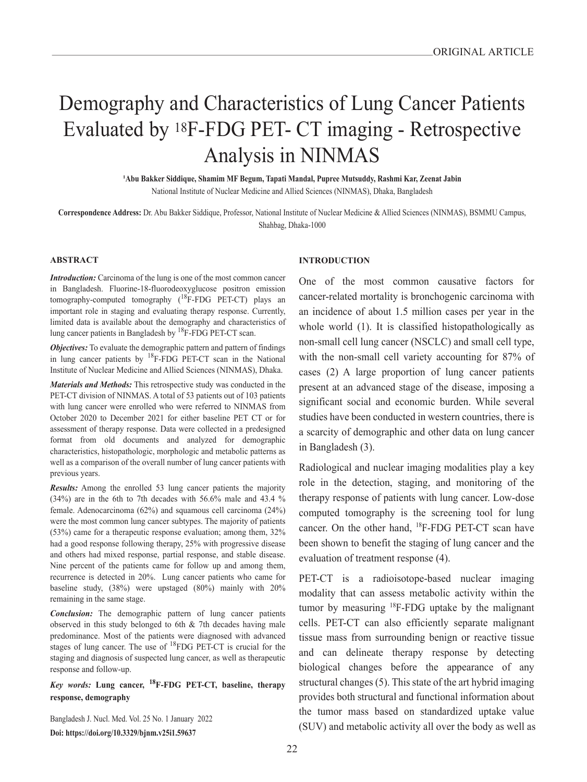# Demography and Characteristics of Lung Cancer Patients Evaluated by 18F-FDG PET- CT imaging - Retrospective Analysis in NINMAS

**<sup>1</sup>Abu Bakker Siddique, Shamim MF Begum, Tapati Mandal, Pupree Mutsuddy, Rashmi Kar, Zeenat Jabin** National Institute of Nuclear Medicine and Allied Sciences (NINMAS), Dhaka, Bangladesh

**Correspondence Address:** Dr. Abu Bakker Siddique, Professor, National Institute of Nuclear Medicine & Allied Sciences (NINMAS), BSMMU Campus, Shahbag, Dhaka-1000

#### **ABSTRACT**

*Introduction:* Carcinoma of the lung is one of the most common cancer in Bangladesh. Fluorine-18-fluorodeoxyglucose positron emission tomography-computed tomography  $(^{18}F-FDG$  PET-CT) plays an important role in staging and evaluating therapy response. Currently, limited data is available about the demography and characteristics of lung cancer patients in Bangladesh by 18F-FDG PET-CT scan.

*Objectives:* To evaluate the demographic pattern and pattern of findings in lung cancer patients by <sup>18</sup>F-FDG PET-CT scan in the National Institute of Nuclear Medicine and Allied Sciences (NINMAS), Dhaka.

*Materials and Methods:* This retrospective study was conducted in the PET-CT division of NINMAS. A total of 53 patients out of 103 patients with lung cancer were enrolled who were referred to NINMAS from October 2020 to December 2021 for either baseline PET CT or for assessment of therapy response. Data were collected in a predesigned format from old documents and analyzed for demographic characteristics, histopathologic, morphologic and metabolic patterns as well as a comparison of the overall number of lung cancer patients with previous years.

*Results:* Among the enrolled 53 lung cancer patients the majority (34%) are in the 6th to 7th decades with 56.6% male and 43.4 % female. Adenocarcinoma (62%) and squamous cell carcinoma (24%) were the most common lung cancer subtypes. The majority of patients (53%) came for a therapeutic response evaluation; among them, 32% had a good response following therapy, 25% with progressive disease and others had mixed response, partial response, and stable disease. Nine percent of the patients came for follow up and among them, recurrence is detected in 20%. Lung cancer patients who came for baseline study, (38%) were upstaged (80%) mainly with 20% remaining in the same stage.

*Conclusion:* The demographic pattern of lung cancer patients observed in this study belonged to 6th & 7th decades having male predominance. Most of the patients were diagnosed with advanced stages of lung cancer. The use of <sup>18</sup>FDG PET-CT is crucial for the staging and diagnosis of suspected lung cancer, as well as therapeutic response and follow-up.

*Key words:* **Lung cancer, 18F-FDG PET-CT, baseline, therapy response, demography**

Bangladesh J. Nucl. Med. Vol. 25 No. 1 January 2022 **Doi: https://doi.org/10.3329/bjnm.v25i1.59637**

#### **INTRODUCTION**

One of the most common causative factors for cancer-related mortality is bronchogenic carcinoma with an incidence of about 1.5 million cases per year in the whole world (1). It is classified histopathologically as non-small cell lung cancer (NSCLC) and small cell type, with the non-small cell variety accounting for 87% of cases (2) A large proportion of lung cancer patients present at an advanced stage of the disease, imposing a significant social and economic burden. While several studies have been conducted in western countries, there is a scarcity of demographic and other data on lung cancer in Bangladesh (3).

Radiological and nuclear imaging modalities play a key role in the detection, staging, and monitoring of the therapy response of patients with lung cancer. Low-dose computed tomography is the screening tool for lung cancer. On the other hand, <sup>18</sup>F-FDG PET-CT scan have been shown to benefit the staging of lung cancer and the evaluation of treatment response (4).

PET-CT is a radioisotope-based nuclear imaging modality that can assess metabolic activity within the tumor by measuring  ${}^{18}$ F-FDG uptake by the malignant cells. PET-CT can also efficiently separate malignant tissue mass from surrounding benign or reactive tissue and can delineate therapy response by detecting biological changes before the appearance of any structural changes (5). This state of the art hybrid imaging provides both structural and functional information about the tumor mass based on standardized uptake value (SUV) and metabolic activity all over the body as well as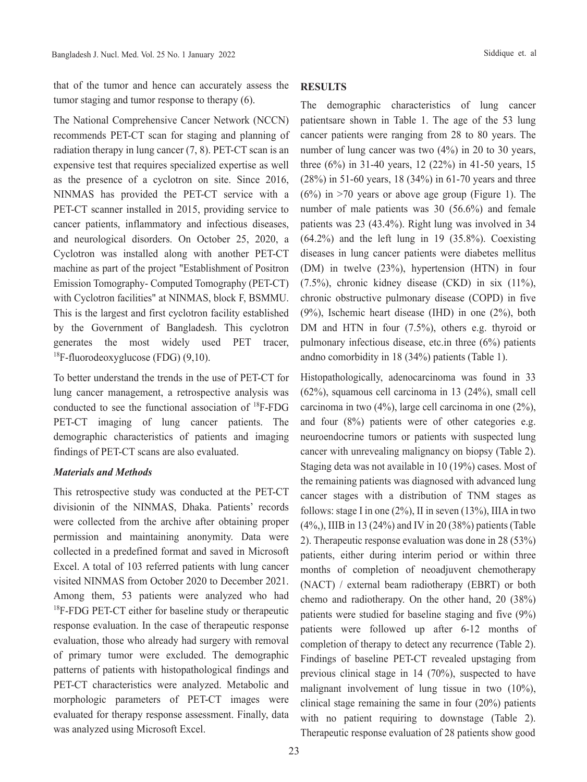that of the tumor and hence can accurately assess the tumor staging and tumor response to therapy (6).

The National Comprehensive Cancer Network (NCCN) recommends PET-CT scan for staging and planning of radiation therapy in lung cancer (7, 8). PET-CT scan is an expensive test that requires specialized expertise as well as the presence of a cyclotron on site. Since 2016, NINMAS has provided the PET-CT service with a PET-CT scanner installed in 2015, providing service to cancer patients, inflammatory and infectious diseases, and neurological disorders. On October 25, 2020, a Cyclotron was installed along with another PET-CT machine as part of the project "Establishment of Positron Emission Tomography- Computed Tomography (PET-CT) with Cyclotron facilities" at NINMAS, block F, BSMMU. This is the largest and first cyclotron facility established by the Government of Bangladesh. This cyclotron generates the most widely used PET tracer, <sup>18</sup>F-fluorodeoxyglucose (FDG)  $(9,10)$ .

To better understand the trends in the use of PET-CT for lung cancer management, a retrospective analysis was conducted to see the functional association of 18F-FDG PET-CT imaging of lung cancer patients. The demographic characteristics of patients and imaging findings of PET-CT scans are also evaluated.

#### *Materials and Methods*

This retrospective study was conducted at the PET-CT divisionin of the NINMAS, Dhaka. Patients' records were collected from the archive after obtaining proper permission and maintaining anonymity. Data were collected in a predefined format and saved in Microsoft Excel. A total of 103 referred patients with lung cancer visited NINMAS from October 2020 to December 2021. Among them, 53 patients were analyzed who had <sup>18</sup>F-FDG PET-CT either for baseline study or therapeutic response evaluation. In the case of therapeutic response evaluation, those who already had surgery with removal of primary tumor were excluded. The demographic patterns of patients with histopathological findings and PET-CT characteristics were analyzed. Metabolic and morphologic parameters of PET-CT images were evaluated for therapy response assessment. Finally, data was analyzed using Microsoft Excel.

#### **RESULTS**

The demographic characteristics of lung cancer patientsare shown in Table 1. The age of the 53 lung cancer patients were ranging from 28 to 80 years. The number of lung cancer was two (4%) in 20 to 30 years, three (6%) in 31-40 years, 12 (22%) in 41-50 years, 15 (28%) in 51-60 years, 18 (34%) in 61-70 years and three  $(6%)$  in >70 years or above age group (Figure 1). The number of male patients was 30 (56.6%) and female patients was 23 (43.4%). Right lung was involved in 34  $(64.2\%)$  and the left lung in 19  $(35.8\%)$ . Coexisting diseases in lung cancer patients were diabetes mellitus (DM) in twelve (23%), hypertension (HTN) in four  $(7.5\%)$ , chronic kidney disease  $(CKD)$  in six  $(11\%)$ , chronic obstructive pulmonary disease (COPD) in five (9%), Ischemic heart disease (IHD) in one (2%), both DM and HTN in four  $(7.5\%)$ , others e.g. thyroid or pulmonary infectious disease, etc.in three (6%) patients andno comorbidity in 18 (34%) patients (Table 1).

Histopathologically, adenocarcinoma was found in 33 (62%), squamous cell carcinoma in 13 (24%), small cell carcinoma in two (4%), large cell carcinoma in one (2%), and four (8%) patients were of other categories e.g. neuroendocrine tumors or patients with suspected lung cancer with unrevealing malignancy on biopsy (Table 2). Staging deta was not available in 10 (19%) cases. Most of the remaining patients was diagnosed with advanced lung cancer stages with a distribution of TNM stages as follows: stage I in one  $(2\%)$ , II in seven  $(13\%)$ , IIIA in two (4%,), IIIB in 13 (24%) and IV in 20 (38%) patients (Table 2). Therapeutic response evaluation was done in 28 (53%) patients, either during interim period or within three months of completion of neoadjuvent chemotherapy (NACT) / external beam radiotherapy (EBRT) or both chemo and radiotherapy. On the other hand, 20 (38%) patients were studied for baseline staging and five (9%) patients were followed up after 6-12 months of completion of therapy to detect any recurrence (Table 2). Findings of baseline PET-CT revealed upstaging from previous clinical stage in 14 (70%), suspected to have malignant involvement of lung tissue in two (10%), clinical stage remaining the same in four (20%) patients with no patient requiring to downstage (Table 2). Therapeutic response evaluation of 28 patients show good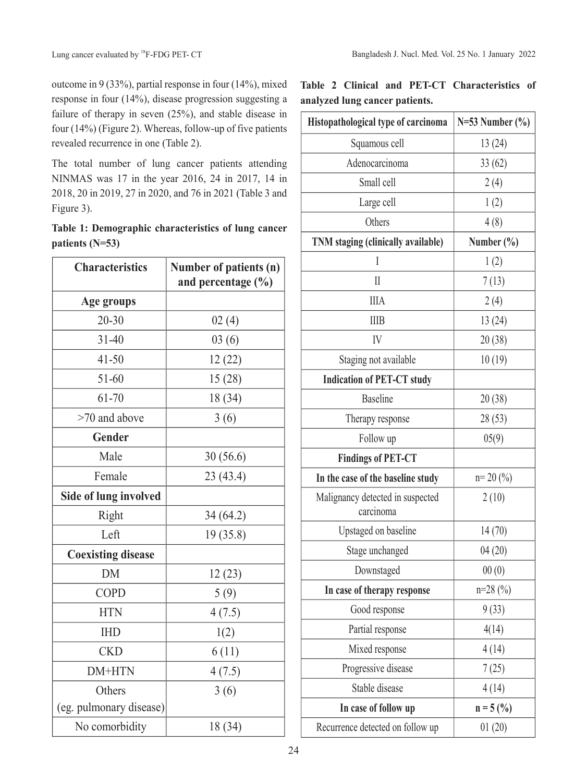outcome in 9 (33%), partial response in four (14%), mixed response in four (14%), disease progression suggesting a failure of therapy in seven (25%), and stable disease in four (14%) (Figure 2). Whereas, follow-up of five patients revealed recurrence in one (Table 2).

The total number of lung cancer patients attending NINMAS was 17 in the year 2016, 24 in 2017, 14 in 2018, 20 in 2019, 27 in 2020, and 76 in 2021 (Table 3 and Figure 3).

|                   | Table 1: Demographic characteristics of lung cancer |  |  |
|-------------------|-----------------------------------------------------|--|--|
| patients $(N=53)$ |                                                     |  |  |

| <b>Characteristics</b>       | Number of patients (n)<br>and percentage $(\% )$ |  |  |
|------------------------------|--------------------------------------------------|--|--|
| Age groups                   |                                                  |  |  |
| $20 - 30$                    | 02(4)                                            |  |  |
| $31 - 40$                    | 03(6)                                            |  |  |
| $41 - 50$                    | 12(22)                                           |  |  |
| $51 - 60$                    | 15(28)                                           |  |  |
| 61-70                        | 18 (34)                                          |  |  |
| >70 and above                | 3(6)                                             |  |  |
| Gender                       |                                                  |  |  |
| Male                         | 30(56.6)                                         |  |  |
| Female                       | 23(43.4)                                         |  |  |
| <b>Side of lung involved</b> |                                                  |  |  |
| Right                        | 34(64.2)                                         |  |  |
| Left                         | 19 (35.8)                                        |  |  |
| <b>Coexisting disease</b>    |                                                  |  |  |
| <b>DM</b>                    | 12(23)                                           |  |  |
| <b>COPD</b>                  | 5(9)                                             |  |  |
| <b>HTN</b>                   | 4(7.5)                                           |  |  |
| <b>IHD</b>                   | 1(2)                                             |  |  |
| <b>CKD</b>                   | 6(11)                                            |  |  |
| DM+HTN                       | 4(7.5)                                           |  |  |
| Others                       | 3(6)                                             |  |  |
| (eg. pulmonary disease)      |                                                  |  |  |
| No comorbidity               | 18 (34)                                          |  |  |

**Table 2 Clinical and PET-CT Characteristics of analyzed lung cancer patients.**

| Histopathological type of carcinoma           | $N=53$ Number $(\% )$ |  |  |
|-----------------------------------------------|-----------------------|--|--|
| Squamous cell                                 | 13(24)                |  |  |
| Adenocarcinoma                                | 33(62)                |  |  |
| Small cell                                    | 2(4)                  |  |  |
| Large cell                                    | 1(2)                  |  |  |
| Others                                        | 4(8)                  |  |  |
| TNM staging (clinically available)            | Number $(\% )$        |  |  |
| I                                             | 1(2)                  |  |  |
| $\mathop{\rm II}\nolimits$                    | 7(13)                 |  |  |
| <b>IIIA</b>                                   | 2(4)                  |  |  |
| <b>IIIB</b>                                   | 13(24)                |  |  |
| IV                                            | 20(38)                |  |  |
| Staging not available                         | 10(19)                |  |  |
| <b>Indication of PET-CT study</b>             |                       |  |  |
| <b>Baseline</b>                               | 20(38)                |  |  |
| Therapy response                              | 28(53)                |  |  |
| Follow up                                     | 05(9)                 |  |  |
| <b>Findings of PET-CT</b>                     |                       |  |  |
| In the case of the baseline study             | $n=20(%)$             |  |  |
| Malignancy detected in suspected<br>carcinoma | 2(10)                 |  |  |
| Upstaged on baseline                          | 14(70)                |  |  |
| Stage unchanged                               | 04(20)                |  |  |
| Downstaged                                    | 00(0)                 |  |  |
| In case of therapy response                   | $n=28(%)$             |  |  |
| Good response                                 | 9(33)                 |  |  |
| Partial response                              | 4(14)                 |  |  |
| Mixed response                                | 4(14)                 |  |  |
| Progressive disease                           | 7(25)                 |  |  |
| Stable disease                                | 4(14)                 |  |  |
| In case of follow up                          | $n = 5$ (%)           |  |  |
| Recurrence detected on follow up              | 01(20)                |  |  |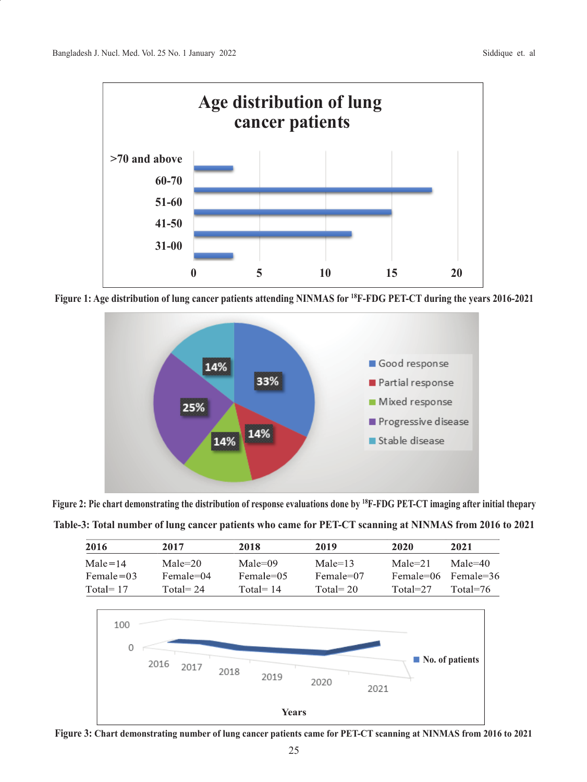

**Figure 1: Age distribution of lung cancer patients attending NINMAS for 18F-FDG PET-CT during the years 2016-2021**



**Figure 2: Pie chart demonstrating the distribution of response evaluations done by 18F-FDG PET-CT imaging after initial thepary**

|  | Table-3: Total number of lung cancer patients who came for PET-CT scanning at NINMAS from 2016 to 2021 |
|--|--------------------------------------------------------------------------------------------------------|
|--|--------------------------------------------------------------------------------------------------------|

| 2016                         | 2017                     | 2018                     | 2019                       | 2020                     | 2021                           |
|------------------------------|--------------------------|--------------------------|----------------------------|--------------------------|--------------------------------|
| $Male = 14$<br>Female $= 03$ | $Male = 20$<br>Female=04 | $Male = 09$<br>Female=05 | $Male = 13$<br>$Female=07$ | $Male = 21$<br>Female=06 | $Male=40$<br>Female=36         |
| Total= $17$                  | Total = $24$             | Total = $14$             | Total = $20$               | $Total = 27$             | Total= $76$                    |
| 100<br>0                     | 2016<br>2017             | 2018                     |                            |                          | $\blacksquare$ No. of patients |



**Years**

2020

2021

2019

2018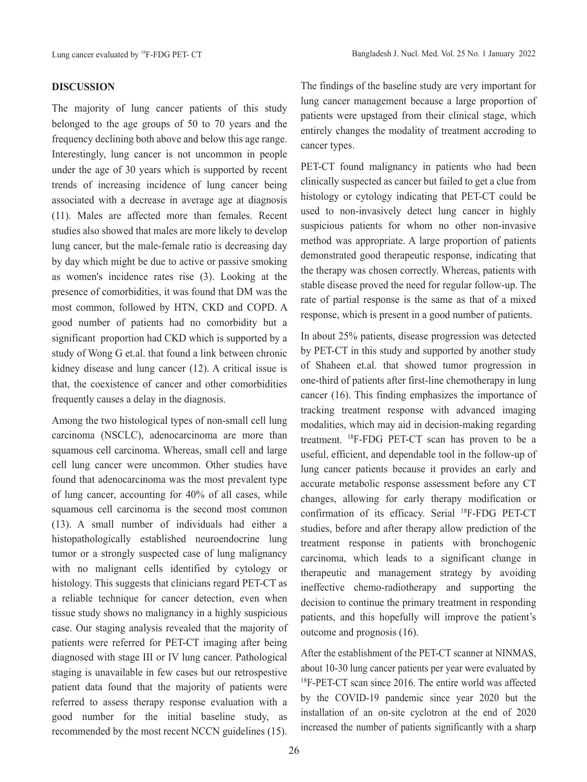## **DISCUSSION**

The majority of lung cancer patients of this study belonged to the age groups of 50 to 70 years and the frequency declining both above and below this age range. Interestingly, lung cancer is not uncommon in people under the age of 30 years which is supported by recent trends of increasing incidence of lung cancer being associated with a decrease in average age at diagnosis (11). Males are affected more than females. Recent studies also showed that males are more likely to develop lung cancer, but the male-female ratio is decreasing day by day which might be due to active or passive smoking as women's incidence rates rise (3). Looking at the presence of comorbidities, it was found that DM was the most common, followed by HTN, CKD and COPD. A good number of patients had no comorbidity but a significant proportion had CKD which is supported by a study of Wong G et.al. that found a link between chronic kidney disease and lung cancer (12). A critical issue is that, the coexistence of cancer and other comorbidities frequently causes a delay in the diagnosis.

Among the two histological types of non-small cell lung carcinoma (NSCLC), adenocarcinoma are more than squamous cell carcinoma. Whereas, small cell and large cell lung cancer were uncommon. Other studies have found that adenocarcinoma was the most prevalent type of lung cancer, accounting for 40% of all cases, while squamous cell carcinoma is the second most common (13). A small number of individuals had either a histopathologically established neuroendocrine lung tumor or a strongly suspected case of lung malignancy with no malignant cells identified by cytology or histology. This suggests that clinicians regard PET-CT as a reliable technique for cancer detection, even when tissue study shows no malignancy in a highly suspicious case. Our staging analysis revealed that the majority of patients were referred for PET-CT imaging after being diagnosed with stage III or IV lung cancer. Pathological staging is unavailable in few cases but our retrospestive patient data found that the majority of patients were referred to assess therapy response evaluation with a good number for the initial baseline study, as recommended by the most recent NCCN guidelines (15).

The findings of the baseline study are very important for lung cancer management because a large proportion of patients were upstaged from their clinical stage, which entirely changes the modality of treatment accroding to cancer types.

PET-CT found malignancy in patients who had been clinically suspected as cancer but failed to get a clue from histology or cytology indicating that PET-CT could be used to non-invasively detect lung cancer in highly suspicious patients for whom no other non-invasive method was appropriate. A large proportion of patients demonstrated good therapeutic response, indicating that the therapy was chosen correctly. Whereas, patients with stable disease proved the need for regular follow-up. The rate of partial response is the same as that of a mixed response, which is present in a good number of patients.

In about 25% patients, disease progression was detected by PET-CT in this study and supported by another study of Shaheen et.al. that showed tumor progression in one-third of patients after first-line chemotherapy in lung cancer (16). This finding emphasizes the importance of tracking treatment response with advanced imaging modalities, which may aid in decision-making regarding treatment. 18F-FDG PET-CT scan has proven to be a useful, efficient, and dependable tool in the follow-up of lung cancer patients because it provides an early and accurate metabolic response assessment before any CT changes, allowing for early therapy modification or confirmation of its efficacy. Serial <sup>18</sup>F-FDG PET-CT studies, before and after therapy allow prediction of the treatment response in patients with bronchogenic carcinoma, which leads to a significant change in therapeutic and management strategy by avoiding ineffective chemo-radiotherapy and supporting the decision to continue the primary treatment in responding patients, and this hopefully will improve the patient's outcome and prognosis (16).

After the establishment of the PET-CT scanner at NINMAS, about 10-30 lung cancer patients per year were evaluated by <sup>18</sup>F-PET-CT scan since 2016. The entire world was affected by the COVID-19 pandemic since year 2020 but the installation of an on-site cyclotron at the end of 2020 increased the number of patients significantly with a sharp